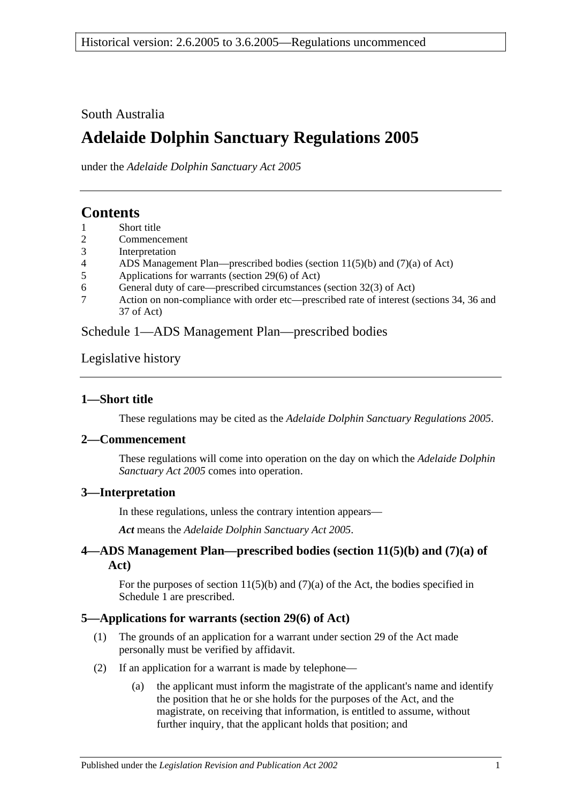South Australia

# **Adelaide Dolphin Sanctuary Regulations 2005**

under the *Adelaide Dolphin Sanctuary Act 2005*

# **Contents**

- 1 [Short title](#page-0-0)
- 2 [Commencement](#page-0-1)
- 3 [Interpretation](#page-0-2)
- 4 [ADS Management Plan—prescribed bodies \(section 11\(5\)\(b\) and \(7\)\(a\) of Act\)](#page-0-3)
- 5 [Applications for warrants \(section 29\(6\) of Act\)](#page-0-4)
- 6 [General duty of care—prescribed circumstances \(section 32\(3\) of Act\)](#page-1-0)
- 7 [Action on non-compliance with order etc—prescribed rate of interest \(sections 34, 36 and](#page-1-1)  [37 of Act\)](#page-1-1)

[Schedule 1—ADS Management Plan—prescribed bodies](#page-1-2)

[Legislative history](#page-2-0)

### <span id="page-0-0"></span>**1—Short title**

These regulations may be cited as the *Adelaide Dolphin Sanctuary Regulations 2005*.

#### <span id="page-0-1"></span>**2—Commencement**

These regulations will come into operation on the day on which the *[Adelaide Dolphin](http://www.legislation.sa.gov.au/index.aspx?action=legref&type=act&legtitle=Adelaide%20Dolphin%20Sanctuary%20Act%202005)  [Sanctuary Act](http://www.legislation.sa.gov.au/index.aspx?action=legref&type=act&legtitle=Adelaide%20Dolphin%20Sanctuary%20Act%202005) 2005* comes into operation.

#### <span id="page-0-2"></span>**3—Interpretation**

In these regulations, unless the contrary intention appears—

*Act* means the *[Adelaide Dolphin Sanctuary Act 2005](http://www.legislation.sa.gov.au/index.aspx?action=legref&type=act&legtitle=Adelaide%20Dolphin%20Sanctuary%20Act%202005)*.

### <span id="page-0-3"></span>**4—ADS Management Plan—prescribed bodies (section 11(5)(b) and (7)(a) of Act)**

For the purposes of section  $11(5)(b)$  and  $(7)(a)$  of the Act, the bodies specified in [Schedule 1](#page-1-2) are prescribed.

#### <span id="page-0-4"></span>**5—Applications for warrants (section 29(6) of Act)**

- (1) The grounds of an application for a warrant under section 29 of the Act made personally must be verified by affidavit.
- (2) If an application for a warrant is made by telephone—
	- (a) the applicant must inform the magistrate of the applicant's name and identify the position that he or she holds for the purposes of the Act, and the magistrate, on receiving that information, is entitled to assume, without further inquiry, that the applicant holds that position; and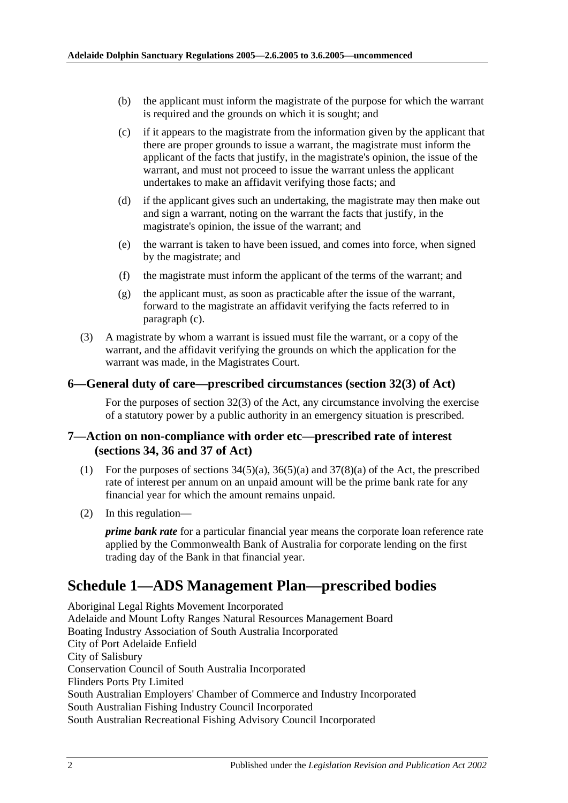- (b) the applicant must inform the magistrate of the purpose for which the warrant is required and the grounds on which it is sought; and
- <span id="page-1-3"></span>(c) if it appears to the magistrate from the information given by the applicant that there are proper grounds to issue a warrant, the magistrate must inform the applicant of the facts that justify, in the magistrate's opinion, the issue of the warrant, and must not proceed to issue the warrant unless the applicant undertakes to make an affidavit verifying those facts; and
- (d) if the applicant gives such an undertaking, the magistrate may then make out and sign a warrant, noting on the warrant the facts that justify, in the magistrate's opinion, the issue of the warrant; and
- (e) the warrant is taken to have been issued, and comes into force, when signed by the magistrate; and
- (f) the magistrate must inform the applicant of the terms of the warrant; and
- (g) the applicant must, as soon as practicable after the issue of the warrant, forward to the magistrate an affidavit verifying the facts referred to in [paragraph](#page-1-3) (c).
- (3) A magistrate by whom a warrant is issued must file the warrant, or a copy of the warrant, and the affidavit verifying the grounds on which the application for the warrant was made, in the Magistrates Court.

#### <span id="page-1-0"></span>**6—General duty of care—prescribed circumstances (section 32(3) of Act)**

For the purposes of section 32(3) of the Act, any circumstance involving the exercise of a statutory power by a public authority in an emergency situation is prescribed.

#### <span id="page-1-1"></span>**7—Action on non-compliance with order etc—prescribed rate of interest (sections 34, 36 and 37 of Act)**

- (1) For the purposes of sections  $34(5)(a)$ ,  $36(5)(a)$  and  $37(8)(a)$  of the Act, the prescribed rate of interest per annum on an unpaid amount will be the prime bank rate for any financial year for which the amount remains unpaid.
- (2) In this regulation—

*prime bank rate* for a particular financial year means the corporate loan reference rate applied by the Commonwealth Bank of Australia for corporate lending on the first trading day of the Bank in that financial year.

# <span id="page-1-2"></span>**Schedule 1—ADS Management Plan—prescribed bodies**

Aboriginal Legal Rights Movement Incorporated Adelaide and Mount Lofty Ranges Natural Resources Management Board Boating Industry Association of South Australia Incorporated City of Port Adelaide Enfield City of Salisbury Conservation Council of South Australia Incorporated Flinders Ports Pty Limited South Australian Employers' Chamber of Commerce and Industry Incorporated South Australian Fishing Industry Council Incorporated South Australian Recreational Fishing Advisory Council Incorporated